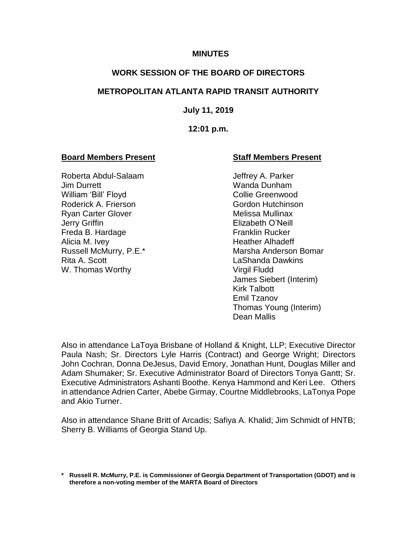### **MINUTES**

## **WORK SESSION OF THE BOARD OF DIRECTORS**

## **METROPOLITAN ATLANTA RAPID TRANSIT AUTHORITY**

### **July 11, 2019**

### **12:01 p.m.**

## **Board Members Present Staff Members Present**

Roberta Abdul-Salaam Jeffrey A. Parker Jim Durrett Wanda Dunham William 'Bill' Floyd Collie Greenwood Roderick A. Frierson Gordon Hutchinson Ryan Carter Glover **Melissa Mullinax** Jerry Griffin Elizabeth O'Neill Freda B. Hardage **Franklin Rucker** Alicia M. Ivey **Heather Alhadeff** Rita A. Scott LaShanda Dawkins W. Thomas Worthy Virgil Fludd

Russell McMurry, P.E.\* Marsha Anderson Bomar James Siebert (Interim) Kirk Talbott Emil Tzanov Thomas Young (Interim) Dean Mallis

Also in attendance LaToya Brisbane of Holland & Knight, LLP; Executive Director Paula Nash; Sr. Directors Lyle Harris (Contract) and George Wright; Directors John Cochran, Donna DeJesus, David Emory, Jonathan Hunt, Douglas Miller and Adam Shumaker; Sr. Executive Administrator Board of Directors Tonya Gantt; Sr. Executive Administrators Ashanti Boothe. Kenya Hammond and Keri Lee. Others in attendance Adrien Carter, Abebe Girmay, Courtne Middlebrooks, LaTonya Pope and Akio Turner.

Also in attendance Shane Britt of Arcadis; Safiya A. Khalid; Jim Schmidt of HNTB; Sherry B. Williams of Georgia Stand Up.

**<sup>\*</sup> Russell R. McMurry, P.E. is Commissioner of Georgia Department of Transportation (GDOT) and is therefore a non-voting member of the MARTA Board of Directors**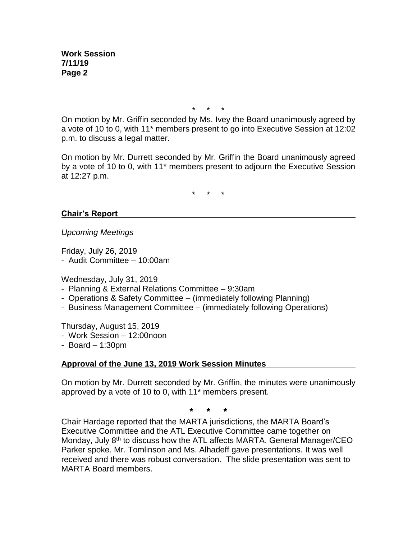\* \* \*

On motion by Mr. Griffin seconded by Ms. Ivey the Board unanimously agreed by a vote of 10 to 0, with 11\* members present to go into Executive Session at 12:02 p.m. to discuss a legal matter.

On motion by Mr. Durrett seconded by Mr. Griffin the Board unanimously agreed by a vote of 10 to 0, with 11\* members present to adjourn the Executive Session at 12:27 p.m.

\* \* \*

# **Chair's Report**

*Upcoming Meetings*

Friday, July 26, 2019

- Audit Committee – 10:00am

Wednesday, July 31, 2019

- Planning & External Relations Committee 9:30am
- Operations & Safety Committee (immediately following Planning)
- Business Management Committee (immediately following Operations)

Thursday, August 15, 2019

- Work Session 12:00noon
- Board 1:30pm

# **Approval of the June 13, 2019 Work Session Minutes**

On motion by Mr. Durrett seconded by Mr. Griffin, the minutes were unanimously approved by a vote of 10 to 0, with 11\* members present.

**\* \* \***

Chair Hardage reported that the MARTA jurisdictions, the MARTA Board's Executive Committee and the ATL Executive Committee came together on Monday, July 8<sup>th</sup> to discuss how the ATL affects MARTA. General Manager/CEO Parker spoke. Mr. Tomlinson and Ms. Alhadeff gave presentations. It was well received and there was robust conversation. The slide presentation was sent to MARTA Board members.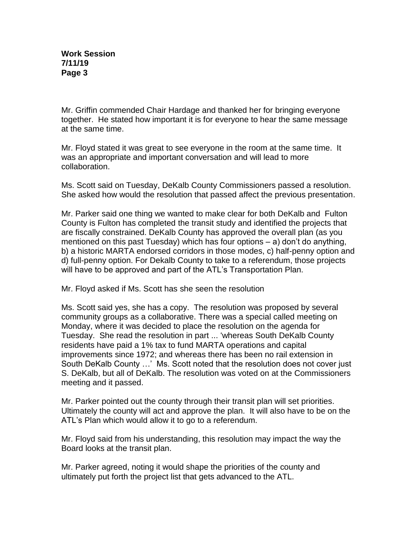Mr. Griffin commended Chair Hardage and thanked her for bringing everyone together. He stated how important it is for everyone to hear the same message at the same time.

Mr. Floyd stated it was great to see everyone in the room at the same time. It was an appropriate and important conversation and will lead to more collaboration.

Ms. Scott said on Tuesday, DeKalb County Commissioners passed a resolution. She asked how would the resolution that passed affect the previous presentation.

Mr. Parker said one thing we wanted to make clear for both DeKalb and Fulton County is Fulton has completed the transit study and identified the projects that are fiscally constrained. DeKalb County has approved the overall plan (as you mentioned on this past Tuesday) which has four options – a) don't do anything, b) a historic MARTA endorsed corridors in those modes, c) half-penny option and d) full-penny option. For Dekalb County to take to a referendum, those projects will have to be approved and part of the ATL's Transportation Plan.

Mr. Floyd asked if Ms. Scott has she seen the resolution

Ms. Scott said yes, she has a copy. The resolution was proposed by several community groups as a collaborative. There was a special called meeting on Monday, where it was decided to place the resolution on the agenda for Tuesday. She read the resolution in part ... 'whereas South DeKalb County residents have paid a 1% tax to fund MARTA operations and capital improvements since 1972; and whereas there has been no rail extension in South DeKalb County …' Ms. Scott noted that the resolution does not cover just S. DeKalb, but all of DeKalb. The resolution was voted on at the Commissioners meeting and it passed.

Mr. Parker pointed out the county through their transit plan will set priorities. Ultimately the county will act and approve the plan. It will also have to be on the ATL's Plan which would allow it to go to a referendum.

Mr. Floyd said from his understanding, this resolution may impact the way the Board looks at the transit plan.

Mr. Parker agreed, noting it would shape the priorities of the county and ultimately put forth the project list that gets advanced to the ATL.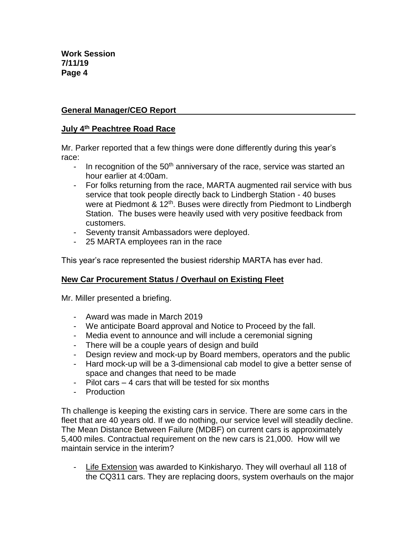# **General Manager/CEO Report**

# **July 4th Peachtree Road Race**

Mr. Parker reported that a few things were done differently during this year's race:

- In recognition of the  $50<sup>th</sup>$  anniversary of the race, service was started an hour earlier at 4:00am.
- For folks returning from the race, MARTA augmented rail service with bus service that took people directly back to Lindbergh Station - 40 buses were at Piedmont & 12<sup>th</sup>. Buses were directly from Piedmont to Lindbergh Station. The buses were heavily used with very positive feedback from customers.
- Seventy transit Ambassadors were deployed.
- 25 MARTA employees ran in the race

This year's race represented the busiest ridership MARTA has ever had.

# **New Car Procurement Status / Overhaul on Existing Fleet**

Mr. Miller presented a briefing.

- Award was made in March 2019
- We anticipate Board approval and Notice to Proceed by the fall.
- Media event to announce and will include a ceremonial signing
- There will be a couple years of design and build
- Design review and mock-up by Board members, operators and the public
- Hard mock-up will be a 3-dimensional cab model to give a better sense of space and changes that need to be made
- Pilot cars 4 cars that will be tested for six months
- Production

Th challenge is keeping the existing cars in service. There are some cars in the fleet that are 40 years old. If we do nothing, our service level will steadily decline. The Mean Distance Between Failure (MDBF) on current cars is approximately 5,400 miles. Contractual requirement on the new cars is 21,000. How will we maintain service in the interim?

- Life Extension was awarded to Kinkisharyo. They will overhaul all 118 of the CQ311 cars. They are replacing doors, system overhauls on the major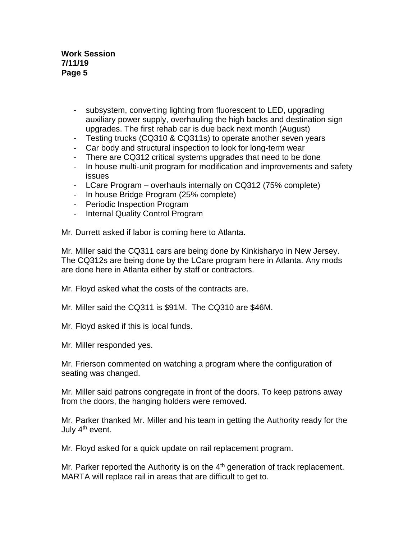**Work Session 7/11/19 Page 5**

- subsystem, converting lighting from fluorescent to LED, upgrading auxiliary power supply, overhauling the high backs and destination sign upgrades. The first rehab car is due back next month (August)
- Testing trucks (CQ310 & CQ311s) to operate another seven years
- Car body and structural inspection to look for long-term wear
- There are CQ312 critical systems upgrades that need to be done
- In house multi-unit program for modification and improvements and safety issues
- LCare Program overhauls internally on CQ312 (75% complete)
- In house Bridge Program (25% complete)
- Periodic Inspection Program
- Internal Quality Control Program

Mr. Durrett asked if labor is coming here to Atlanta.

Mr. Miller said the CQ311 cars are being done by Kinkisharyo in New Jersey. The CQ312s are being done by the LCare program here in Atlanta. Any mods are done here in Atlanta either by staff or contractors.

Mr. Floyd asked what the costs of the contracts are.

Mr. Miller said the CQ311 is \$91M. The CQ310 are \$46M.

Mr. Floyd asked if this is local funds.

Mr. Miller responded yes.

Mr. Frierson commented on watching a program where the configuration of seating was changed.

Mr. Miller said patrons congregate in front of the doors. To keep patrons away from the doors, the hanging holders were removed.

Mr. Parker thanked Mr. Miller and his team in getting the Authority ready for the July 4<sup>th</sup> event.

Mr. Floyd asked for a quick update on rail replacement program.

Mr. Parker reported the Authority is on the  $4<sup>th</sup>$  generation of track replacement. MARTA will replace rail in areas that are difficult to get to.